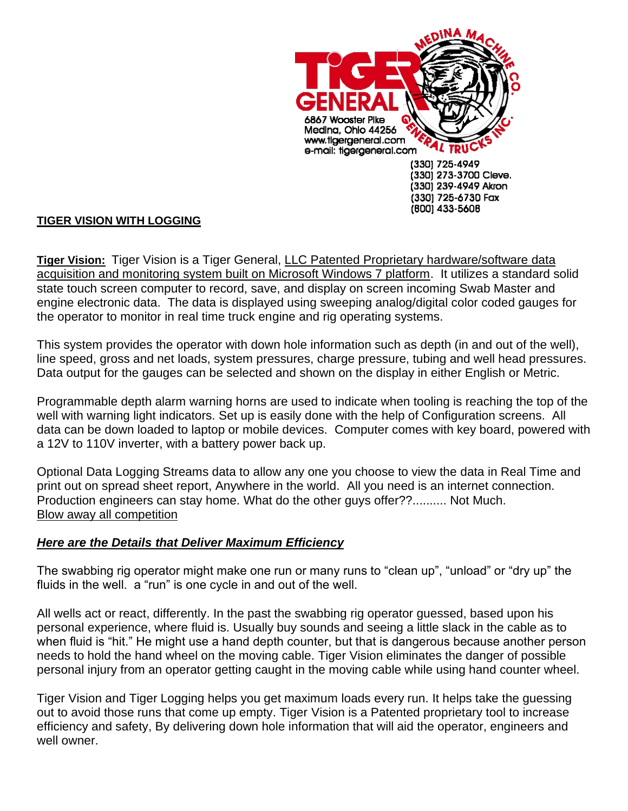

## **TIGER VISION WITH LOGGING**

**Tiger Vision:** Tiger Vision is a Tiger General, LLC Patented Proprietary hardware/software data acquisition and monitoring system built on Microsoft Windows 7 platform. It utilizes a standard solid state touch screen computer to record, save, and display on screen incoming Swab Master and engine electronic data. The data is displayed using sweeping analog/digital color coded gauges for the operator to monitor in real time truck engine and rig operating systems.

This system provides the operator with down hole information such as depth (in and out of the well), line speed, gross and net loads, system pressures, charge pressure, tubing and well head pressures. Data output for the gauges can be selected and shown on the display in either English or Metric.

Programmable depth alarm warning horns are used to indicate when tooling is reaching the top of the well with warning light indicators. Set up is easily done with the help of Configuration screens. All data can be down loaded to laptop or mobile devices. Computer comes with key board, powered with a 12V to 110V inverter, with a battery power back up.

Optional Data Logging Streams data to allow any one you choose to view the data in Real Time and print out on spread sheet report, Anywhere in the world. All you need is an internet connection. Production engineers can stay home. What do the other guys offer??.......... Not Much. Blow away all competition

## *Here are the Details that Deliver Maximum Efficiency*

The swabbing rig operator might make one run or many runs to "clean up", "unload" or "dry up" the fluids in the well. a "run" is one cycle in and out of the well.

All wells act or react, differently. In the past the swabbing rig operator guessed, based upon his personal experience, where fluid is. Usually buy sounds and seeing a little slack in the cable as to when fluid is "hit." He might use a hand depth counter, but that is dangerous because another person needs to hold the hand wheel on the moving cable. Tiger Vision eliminates the danger of possible personal injury from an operator getting caught in the moving cable while using hand counter wheel.

Tiger Vision and Tiger Logging helps you get maximum loads every run. It helps take the guessing out to avoid those runs that come up empty. Tiger Vision is a Patented proprietary tool to increase efficiency and safety, By delivering down hole information that will aid the operator, engineers and well owner.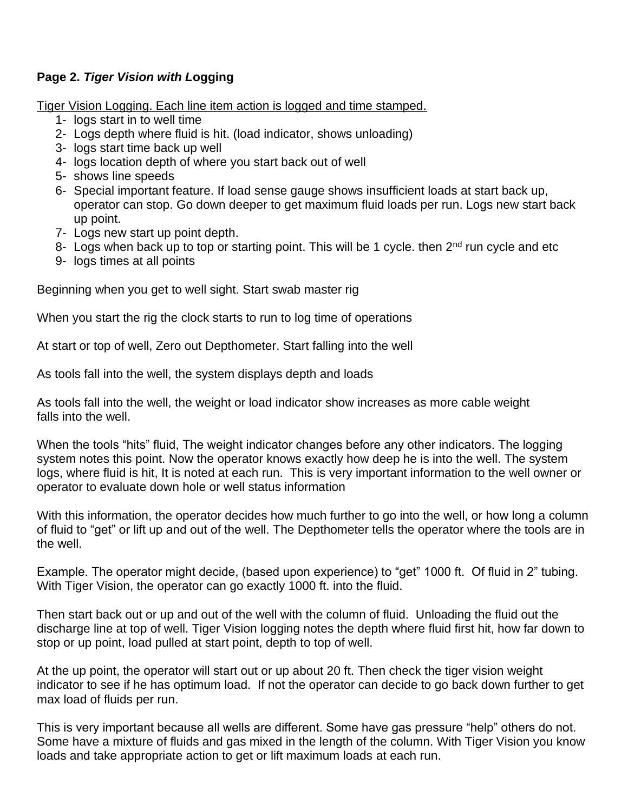## **Page 2.** *Tiger Vision with L***ogging**

Tiger Vision Logging. Each line item action is logged and time stamped.

- 1- logs start in to well time
- 2- Logs depth where fluid is hit. (load indicator, shows unloading)
- 3- logs start time back up well
- 4- logs location depth of where you start back out of well
- 5- shows line speeds
- 6- Special important feature. If load sense gauge shows insufficient loads at start back up, operator can stop. Go down deeper to get maximum fluid loads per run. Logs new start back up point.
- 7- Logs new start up point depth.
- 8- Logs when back up to top or starting point. This will be 1 cycle. then  $2^{nd}$  run cycle and etc
- 9- logs times at all points

Beginning when you get to well sight. Start swab master rig

When you start the rig the clock starts to run to log time of operations

At start or top of well, Zero out Depthometer. Start falling into the well

As tools fall into the well, the system displays depth and loads

As tools fall into the well, the weight or load indicator show increases as more cable weight falls into the well.

When the tools "hits" fluid, The weight indicator changes before any other indicators. The logging system notes this point. Now the operator knows exactly how deep he is into the well. The system logs, where fluid is hit, It is noted at each run. This is very important information to the well owner or operator to evaluate down hole or well status information

With this information, the operator decides how much further to go into the well, or how long a column of fluid to "get" or lift up and out of the well. The Depthometer tells the operator where the tools are in the well.

Example. The operator might decide, (based upon experience) to "get" 1000 ft. Of fluid in 2" tubing. With Tiger Vision, the operator can go exactly 1000 ft. into the fluid.

Then start back out or up and out of the well with the column of fluid. Unloading the fluid out the discharge line at top of well. Tiger Vision logging notes the depth where fluid first hit, how far down to stop or up point, load pulled at start point, depth to top of well.

At the up point, the operator will start out or up about 20 ft. Then check the tiger vision weight indicator to see if he has optimum load. If not the operator can decide to go back down further to get max load of fluids per run.

This is very important because all wells are different. Some have gas pressure "help" others do not. Some have a mixture of fluids and gas mixed in the length of the column. With Tiger Vision you know loads and take appropriate action to get or lift maximum loads at each run.